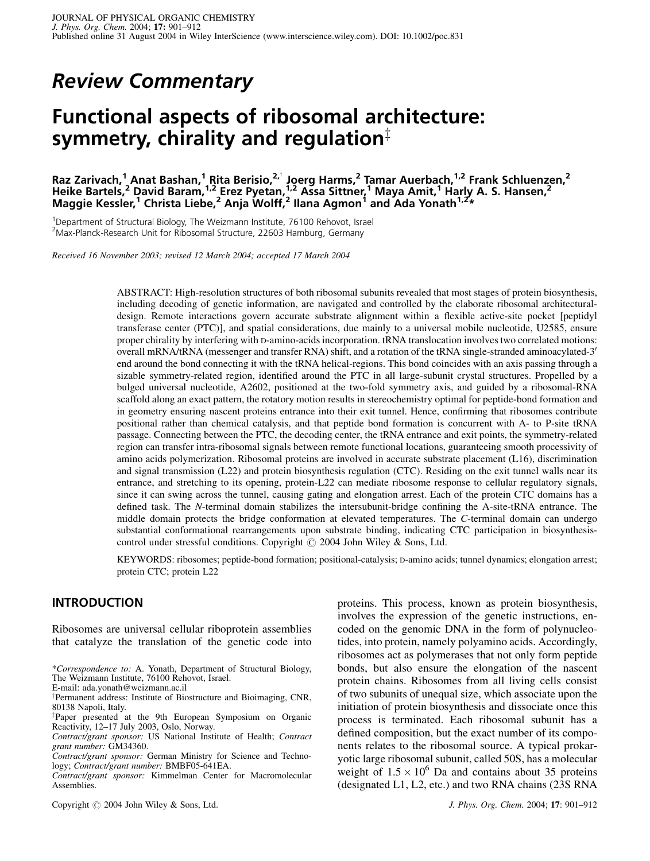## Review Commentary

# Functional aspects of ribosomal architecture: symmetry, chirality and regulation $\ddagger$

Raz Zarivach, <sup>1</sup> Anat Bashan, <sup>1</sup> Rita Berisio, <sup>2,†</sup> Joerg Harms, 2 Tamar Auerbach, <sup>1,2</sup> Frank Schluenzen, 2 Heike Bartels,<sup>2</sup> David Baram,<sup>1,2</sup> Erez Pyetan,<sup>1,2</sup> Assa Sittner,<sup>1</sup> Maya Amit,<sup>1</sup> Harly A. S. Hansen,<sup>2</sup> Maggie Kessler,<sup>1</sup> Christa Liebe,<sup>2</sup> Anja Wolff,<sup>2</sup> Ilana Agmon<sup>1</sup> and Ada Yonath<sup>1,2\*</sup>

<sup>1</sup>Department of Structural Biology, The Weizmann Institute, 76100 Rehovot, Israel <sup>2</sup>Max-Planck-Research Unit for Ribosomal Structure, 22603 Hamburg, Germany

Received 16 November 2003; revised 12 March 2004; accepted 17 March 2004

ABSTRACT: High-resolution structures of both ribosomal subunits revealed that most stages of protein biosynthesis, including decoding of genetic information, are navigated and controlled by the elaborate ribosomal architecturaldesign. Remote interactions govern accurate substrate alignment within a flexible active-site pocket [peptidyl transferase center (PTC)], and spatial considerations, due mainly to a universal mobile nucleotide, U2585, ensure proper chirality by interfering with D-amino-acids incorporation. tRNA translocation involves two correlated motions: overall mRNA/tRNA (messenger and transfer RNA) shift, and a rotation of the tRNA single-stranded aminoacylated-3' end around the bond connecting it with the tRNA helical-regions. This bond coincides with an axis passing through a sizable symmetry-related region, identified around the PTC in all large-subunit crystal structures. Propelled by a bulged universal nucleotide, A2602, positioned at the two-fold symmetry axis, and guided by a ribosomal-RNA scaffold along an exact pattern, the rotatory motion results in stereochemistry optimal for peptide-bond formation and in geometry ensuring nascent proteins entrance into their exit tunnel. Hence, confirming that ribosomes contribute positional rather than chemical catalysis, and that peptide bond formation is concurrent with A- to P-site tRNA passage. Connecting between the PTC, the decoding center, the tRNA entrance and exit points, the symmetry-related region can transfer intra-ribosomal signals between remote functional locations, guaranteeing smooth processivity of amino acids polymerization. Ribosomal proteins are involved in accurate substrate placement (L16), discrimination and signal transmission (L22) and protein biosynthesis regulation (CTC). Residing on the exit tunnel walls near its entrance, and stretching to its opening, protein-L22 can mediate ribosome response to cellular regulatory signals, since it can swing across the tunnel, causing gating and elongation arrest. Each of the protein CTC domains has a defined task. The N-terminal domain stabilizes the intersubunit-bridge confining the A-site-tRNA entrance. The middle domain protects the bridge conformation at elevated temperatures. The C-terminal domain can undergo substantial conformational rearrangements upon substrate binding, indicating CTC participation in biosynthesiscontrol under stressful conditions. Copyright  $\odot$  2004 John Wiley & Sons, Ltd.

KEYWORDS: ribosomes; peptide-bond formation; positional-catalysis; D-amino acids; tunnel dynamics; elongation arrest; protein CTC; protein L22

## INTRODUCTION

Ribosomes are universal cellular riboprotein assemblies that catalyze the translation of the genetic code into

Copyright  $\odot$  2004 John Wiley & Sons, Ltd.  $J. Phys.$  Org. Chem. 2004; 17: 901–912

proteins. This process, known as protein biosynthesis, involves the expression of the genetic instructions, encoded on the genomic DNA in the form of polynucleotides, into protein, namely polyamino acids. Accordingly, ribosomes act as polymerases that not only form peptide bonds, but also ensure the elongation of the nascent protein chains. Ribosomes from all living cells consist of two subunits of unequal size, which associate upon the initiation of protein biosynthesis and dissociate once this process is terminated. Each ribosomal subunit has a defined composition, but the exact number of its components relates to the ribosomal source. A typical prokaryotic large ribosomal subunit, called 50S, has a molecular weight of  $1.5 \times 10^6$  Da and contains about 35 proteins (designated L1, L2, etc.) and two RNA chains (23S RNA

<sup>\*</sup>Correspondence to: A. Yonath, Department of Structural Biology, The Weizmann Institute, 76100 Rehovot, Israel.

E-mail: ada.yonath@weizmann.ac.il

<sup>&</sup>lt;sup>†</sup>Permanent address: Institute of Biostructure and Bioimaging, CNR, 80138 Napoli, Italy.

z Paper presented at the 9th European Symposium on Organic Reactivity, 12–17 July 2003, Oslo, Norway.

Contract/grant sponsor: US National Institute of Health; Contract grant number: GM34360.

Contract/grant sponsor: German Ministry for Science and Technology; Contract/grant number: BMBF05-641EA.

Contract/grant sponsor: Kimmelman Center for Macromolecular Assemblies.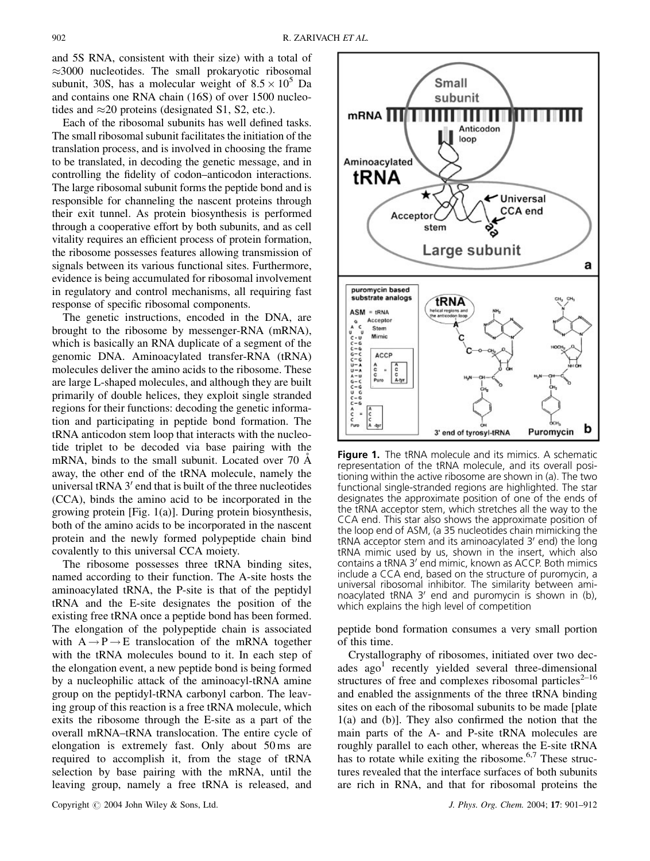and 5S RNA, consistent with their size) with a total of  $\approx$  3000 nucleotides. The small prokaryotic ribosomal subunit, 30S, has a molecular weight of  $8.5 \times 10^5$  Da and contains one RNA chain (16S) of over 1500 nucleotides and  $\approx$  20 proteins (designated S1, S2, etc.).

Each of the ribosomal subunits has well defined tasks. The small ribosomal subunit facilitates the initiation of the translation process, and is involved in choosing the frame to be translated, in decoding the genetic message, and in controlling the fidelity of codon–anticodon interactions. The large ribosomal subunit forms the peptide bond and is responsible for channeling the nascent proteins through their exit tunnel. As protein biosynthesis is performed through a cooperative effort by both subunits, and as cell vitality requires an efficient process of protein formation, the ribosome possesses features allowing transmission of signals between its various functional sites. Furthermore, evidence is being accumulated for ribosomal involvement in regulatory and control mechanisms, all requiring fast response of specific ribosomal components.

The genetic instructions, encoded in the DNA, are brought to the ribosome by messenger-RNA (mRNA), which is basically an RNA duplicate of a segment of the genomic DNA. Aminoacylated transfer-RNA (tRNA) molecules deliver the amino acids to the ribosome. These are large L-shaped molecules, and although they are built primarily of double helices, they exploit single stranded regions for their functions: decoding the genetic information and participating in peptide bond formation. The tRNA anticodon stem loop that interacts with the nucleotide triplet to be decoded via base pairing with the mRNA, binds to the small subunit. Located over  $70 \text{ Å}$ away, the other end of the tRNA molecule, namely the universal  $tRNA$  3' end that is built of the three nucleotides (CCA), binds the amino acid to be incorporated in the growing protein [Fig. 1(a)]. During protein biosynthesis, both of the amino acids to be incorporated in the nascent protein and the newly formed polypeptide chain bind covalently to this universal CCA moiety.

The ribosome possesses three tRNA binding sites, named according to their function. The A-site hosts the aminoacylated tRNA, the P-site is that of the peptidyl tRNA and the E-site designates the position of the existing free tRNA once a peptide bond has been formed. The elongation of the polypeptide chain is associated with  $A \rightarrow P \rightarrow E$  translocation of the mRNA together with the tRNA molecules bound to it. In each step of the elongation event, a new peptide bond is being formed by a nucleophilic attack of the aminoacyl-tRNA amine group on the peptidyl-tRNA carbonyl carbon. The leaving group of this reaction is a free tRNA molecule, which exits the ribosome through the E-site as a part of the overall mRNA–tRNA translocation. The entire cycle of elongation is extremely fast. Only about 50 ms are required to accomplish it, from the stage of tRNA selection by base pairing with the mRNA, until the leaving group, namely a free tRNA is released, and



Figure 1. The tRNA molecule and its mimics. A schematic representation of the tRNA molecule, and its overall positioning within the active ribosome are shown in (a). The two functional single-stranded regions are highlighted. The star designates the approximate position of one of the ends of the tRNA acceptor stem, which stretches all the way to the CCA end. This star also shows the approximate position of the loop end of ASM, (a 35 nucleotides chain mimicking the  $tRNA$  acceptor stem and its aminoacylated  $3'$  end) the long tRNA mimic used by us, shown in the insert, which also contains a tRNA 3' end mimic, known as ACCP. Both mimics include a CCA end, based on the structure of puromycin, a universal ribosomal inhibitor. The similarity between aminoacylated  $tRNA$  3' end and puromycin is shown in (b), which explains the high level of competition

peptide bond formation consumes a very small portion of this time.

Crystallography of ribosomes, initiated over two decades ago<sup>1</sup> recently yielded several three-dimensional structures of free and complexes ribosomal particles<sup> $2-16$ </sup> and enabled the assignments of the three tRNA binding sites on each of the ribosomal subunits to be made [plate 1(a) and (b)]. They also confirmed the notion that the main parts of the A- and P-site tRNA molecules are roughly parallel to each other, whereas the E-site tRNA has to rotate while exiting the ribosome. $6,7$  These structures revealed that the interface surfaces of both subunits are rich in RNA, and that for ribosomal proteins the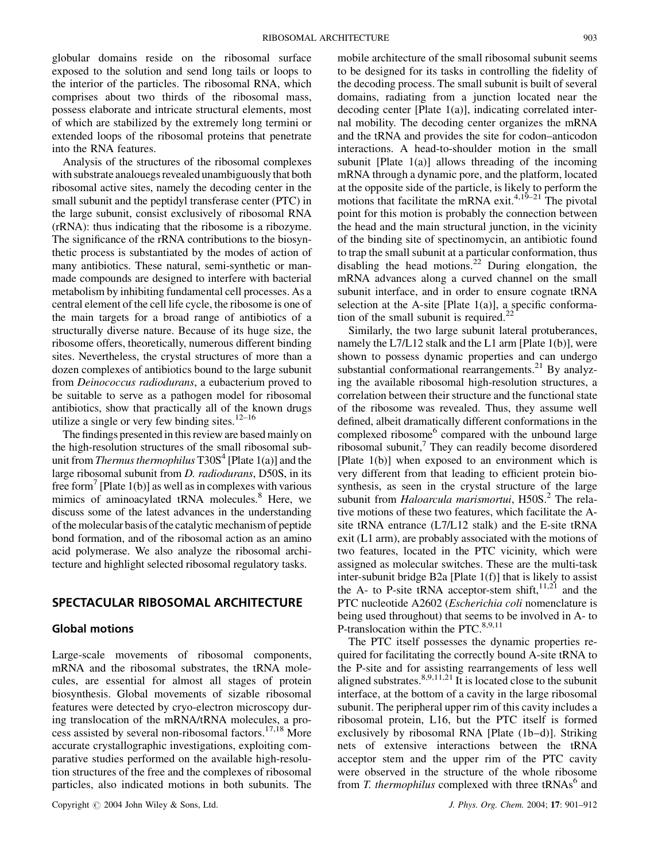globular domains reside on the ribosomal surface exposed to the solution and send long tails or loops to the interior of the particles. The ribosomal RNA, which comprises about two thirds of the ribosomal mass, possess elaborate and intricate structural elements, most of which are stabilized by the extremely long termini or extended loops of the ribosomal proteins that penetrate into the RNA features.

Analysis of the structures of the ribosomal complexes with substrate analouegs revealed unambiguously that both ribosomal active sites, namely the decoding center in the small subunit and the peptidyl transferase center (PTC) in the large subunit, consist exclusively of ribosomal RNA (rRNA): thus indicating that the ribosome is a ribozyme. The significance of the rRNA contributions to the biosynthetic process is substantiated by the modes of action of many antibiotics. These natural, semi-synthetic or manmade compounds are designed to interfere with bacterial metabolism by inhibiting fundamental cell processes. As a central element of the cell life cycle, the ribosome is one of the main targets for a broad range of antibiotics of a structurally diverse nature. Because of its huge size, the ribosome offers, theoretically, numerous different binding sites. Nevertheless, the crystal structures of more than a dozen complexes of antibiotics bound to the large subunit from Deinococcus radiodurans, a eubacterium proved to be suitable to serve as a pathogen model for ribosomal antibiotics, show that practically all of the known drugs utilize a single or very few binding sites.<sup>12–16</sup>

The findings presented in this review are based mainly on the high-resolution structures of the small ribosomal subunit from *Thermus thermophilus*  $T30S<sup>4</sup>$  [Plate 1(a)] and the large ribosomal subunit from *D. radiodurans*, D50S, in its free form<sup>7</sup> [Plate 1(b)] as well as in complexes with various mimics of aminoacylated tRNA molecules.<sup>8</sup> Here, we discuss some of the latest advances in the understanding of the molecular basis of the catalytic mechanism of peptide bond formation, and of the ribosomal action as an amino acid polymerase. We also analyze the ribosomal architecture and highlight selected ribosomal regulatory tasks.

## SPECTACULAR RIBOSOMAL ARCHITECTURE

## Global motions

Large-scale movements of ribosomal components, mRNA and the ribosomal substrates, the tRNA molecules, are essential for almost all stages of protein biosynthesis. Global movements of sizable ribosomal features were detected by cryo-electron microscopy during translocation of the mRNA/tRNA molecules, a process assisted by several non-ribosomal factors.<sup>17,18</sup> More accurate crystallographic investigations, exploiting comparative studies performed on the available high-resolution structures of the free and the complexes of ribosomal particles, also indicated motions in both subunits. The

domains, radiating from a junction located near the decoding center [Plate 1(a)], indicating correlated internal mobility. The decoding center organizes the mRNA and the tRNA and provides the site for codon–anticodon interactions. A head-to-shoulder motion in the small subunit [Plate  $1(a)$ ] allows threading of the incoming mRNA through a dynamic pore, and the platform, located at the opposite side of the particle, is likely to perform the motions that facilitate the mRNA exit.<sup>4,19–21</sup> The pivotal point for this motion is probably the connection between the head and the main structural junction, in the vicinity of the binding site of spectinomycin, an antibiotic found to trap the small subunit at a particular conformation, thus disabling the head motions.<sup>22</sup> During elongation, the mRNA advances along a curved channel on the small subunit interface, and in order to ensure cognate tRNA selection at the A-site [Plate  $1(a)$ ], a specific conformation of the small subunit is required. $22$ Similarly, the two large subunit lateral protuberances,

mobile architecture of the small ribosomal subunit seems to be designed for its tasks in controlling the fidelity of the decoding process. The small subunit is built of several

namely the L7/L12 stalk and the L1 arm [Plate 1(b)], were shown to possess dynamic properties and can undergo substantial conformational rearrangements.<sup>21</sup> By analyzing the available ribosomal high-resolution structures, a correlation between their structure and the functional state of the ribosome was revealed. Thus, they assume well defined, albeit dramatically different conformations in the complexed ribosome<sup>6</sup> compared with the unbound large ribosomal subunit, $^7$  They can readily become disordered [Plate 1(b)] when exposed to an environment which is very different from that leading to efficient protein biosynthesis, as seen in the crystal structure of the large subunit from *Haloarcula marismortui*,  $H50S<sup>2</sup>$ . The relative motions of these two features, which facilitate the Asite tRNA entrance (L7/L12 stalk) and the E-site tRNA exit (L1 arm), are probably associated with the motions of two features, located in the PTC vicinity, which were assigned as molecular switches. These are the multi-task inter-subunit bridge B2a [Plate 1(f)] that is likely to assist the A- to P-site tRNA acceptor-stem shift, $11,21$  and the PTC nucleotide A2602 (Escherichia coli nomenclature is being used throughout) that seems to be involved in A- to P-translocation within the PTC. $8,9,11$ 

The PTC itself possesses the dynamic properties required for facilitating the correctly bound A-site tRNA to the P-site and for assisting rearrangements of less well aligned substrates.<sup>8,9,11,21</sup> It is located close to the subunit interface, at the bottom of a cavity in the large ribosomal subunit. The peripheral upper rim of this cavity includes a ribosomal protein, L16, but the PTC itself is formed exclusively by ribosomal RNA [Plate (1b–d)]. Striking nets of extensive interactions between the tRNA acceptor stem and the upper rim of the PTC cavity were observed in the structure of the whole ribosome from T. thermophilus complexed with three  $tRNAs<sup>6</sup>$  and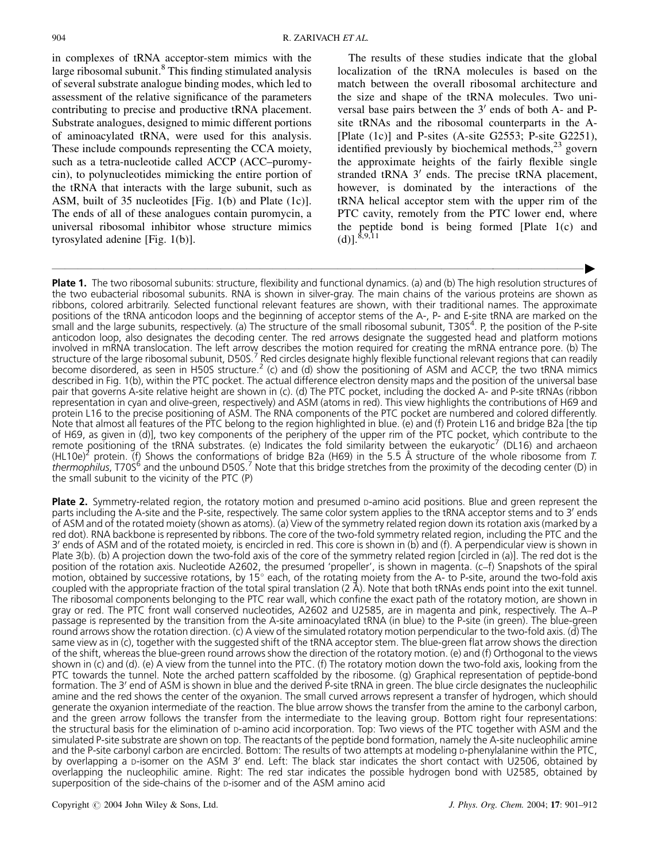in complexes of tRNA acceptor-stem mimics with the large ribosomal subunit. $8$  This finding stimulated analysis of several substrate analogue binding modes, which led to assessment of the relative significance of the parameters contributing to precise and productive tRNA placement. Substrate analogues, designed to mimic different portions of aminoacylated tRNA, were used for this analysis. These include compounds representing the CCA moiety, such as a tetra-nucleotide called ACCP (ACC–puromycin), to polynucleotides mimicking the entire portion of the tRNA that interacts with the large subunit, such as ASM, built of 35 nucleotides [Fig. 1(b) and Plate (1c)]. The ends of all of these analogues contain puromycin, a universal ribosomal inhibitor whose structure mimics tyrosylated adenine [Fig. 1(b)].

The results of these studies indicate that the global localization of the tRNA molecules is based on the match between the overall ribosomal architecture and the size and shape of the tRNA molecules. Two universal base pairs between the  $3'$  ends of both A- and Psite tRNAs and the ribosomal counterparts in the A- [Plate (1c)] and P-sites (A-site G2553; P-site G2251), identified previously by biochemical methods,  $2^3$  govern the approximate heights of the fairly flexible single stranded tRNA  $3'$  ends. The precise tRNA placement, however, is dominated by the interactions of the tRNA helical acceptor stem with the upper rim of the PTC cavity, remotely from the PTC lower end, where the peptide bond is being formed  $[Plate 1(c)$  and  $(d)$ ].<sup>8,9,11</sup>

**Plate 1.** The two ribosomal subunits: structure, flexibility and functional dynamics. (a) and (b) The high resolution structures of the two eubacterial ribosomal subunits. RNA is shown in silver-gray. The main chains of the various proteins are shown as ribbons, colored arbitrarily. Selected functional relevant features are shown, with their traditional names. The approximate positions of the tRNA anticodon loops and the beginning of acceptor stems of the A-, P- and E-site tRNA are marked on the<br>small and the large subunits, respectively. (a) The structure of the small ribosomal subunit, T30S<sup>4</sup> anticodon loop, also designates the decoding center. The red arrows designate the suggested head and platform motions involved in mRNA translocation. The left arrow describes the motion required for creating the mRNA entrance pore. (b) The structure of the large ribosomal subunit, D50S.<sup>7</sup> Red circles designate highly flexible functional relevant regions that can readily become disordered, as seen in H50S structure.2 (c) and (d) show the positioning of ASM and ACCP, the two tRNA mimics described in Fig. 1(b), within the PTC pocket. The actual difference electron density maps and the position of the universal base pair that governs A-site relative height are shown in (c). (d) The PTC pocket, including the docked A- and P-site tRNAs (ribbon representation in cyan and olive-green, respectively) and ASM (atoms in red). This view highlights the contributions of H69 and protein L16 to the precise positioning of ASM. The RNA components of the PTC pocket are numbered and colored differently. Note that almost all features of the PTC belong to the region highlighted in blue. (e) and (f) Protein L16 and bridge B2a [the tip of H69, as given in (d)], two key components of the periphery of the upper rim of the PTC pocket, which contribute to the remote positioning of the tRNA substrates. (e) Indicates the fold similarity between the eukaryotic<sup>7</sup> (DL16) and archaeon (HL10e)<sup>2</sup> protein. (f) Shows the conformations of bridge B2a (H69) in the 5.5 Å structure of the whole ribosome from T. thermophilus, T70S<sup>6</sup> and the unbound D50S.<sup>7</sup> Note that this bridge stretches from the proximity of the decoding center (D) in the small subunit to the vicinity of the PTC (P)

—————————————————————————————————————————"

Plate 2. Symmetry-related region, the rotatory motion and presumed p-amino acid positions. Blue and green represent the parts including the A-site and the P-site, respectively. The same color system applies to the tRNA acceptor stems and to 3' ends of ASM and of the rotated moiety (shown as atoms). (a) View of the symmetry related region down its rotation axis (marked by a red dot). RNA backbone is represented by ribbons. The core of the two-fold symmetry related region, including the PTC and the 3' ends of ASM and of the rotated moiety, is encircled in red. This core is shown in (b) and (f). A perpendicular view is shown in Plate 3(b). (b) A projection down the two-fold axis of the core of the symmetry related region [circled in (a)]. The red dot is the position of the rotation axis. Nucleotide A2602, the presumed 'propeller', is shown in magenta. (c–f) Snapshots of the spiral motion, obtained by successive rotations, by 15 $^{\circ}$  each, of the rotating moiety from the A- to P-site, around the two-fold axis coupled with the appropriate fraction of the total spiral translation  $(2 \text{ Å})$ . Note that both tRNAs ends point into the exit tunnel. The ribosomal components belonging to the PTC rear wall, which confine the exact path of the rotatory motion, are shown in gray or red. The PTC front wall conserved nucleotides, A2602 and U2585, are in magenta and pink, respectively. The A–P passage is represented by the transition from the A-site aminoacylated tRNA (in blue) to the P-site (in green). The blue-green round arrows show the rotation direction. (c) A view of the simulated rotatory motion perpendicular to the two-fold axis. (d) The same view as in (c), together with the suggested shift of the tRNA acceptor stem. The blue-green flat arrow shows the direction of the shift, whereas the blue-green round arrows show the direction of the rotatory motion. (e) and (f) Orthogonal to the views shown in (c) and (d). (e) A view from the tunnel into the PTC. (f) The rotatory motion down the two-fold axis, looking from the PTC towards the tunnel. Note the arched pattern scaffolded by the ribosome. (g) Graphical representation of peptide-bond formation. The 3' end of ASM is shown in blue and the derived P-site tRNA in green. The blue circle designates the nucleophilic amine and the red shows the center of the oxyanion. The small curved arrows represent a transfer of hydrogen, which should generate the oxyanion intermediate of the reaction. The blue arrow shows the transfer from the amine to the carbonyl carbon, and the green arrow follows the transfer from the intermediate to the leaving group. Bottom right four representations: the structural basis for the elimination of D-amino acid incorporation. Top: Two views of the PTC together with ASM and the simulated P-site substrate are shown on top. The reactants of the peptide bond formation, namely the A-site nucleophilic amine and the P-site carbonyl carbon are encircled. Bottom: The results of two attempts at modeling D-phenylalanine within the PTC, by overlapping a D-isomer on the ASM 3' end. Left: The black star indicates the short contact with U2506, obtained by overlapping the nucleophilic amine. Right: The red star indicates the possible hydrogen bond with U2585, obtained by superposition of the side-chains of the D-isomer and of the ASM amino acid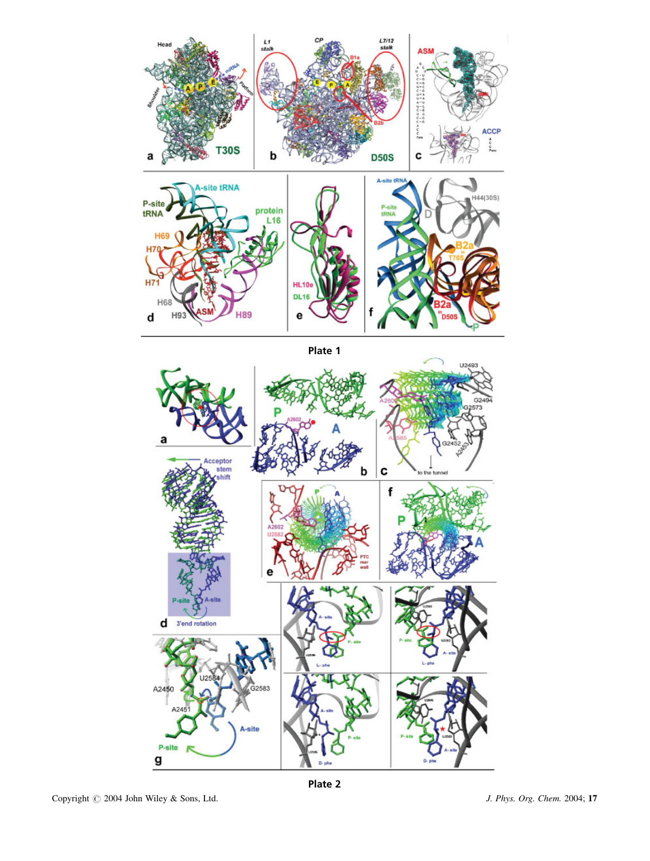

Plate 1



Copyright  $\odot$  2004 John Wiley & Sons, Ltd. J. Phys. Org. Chem. 2004; 17

Plate 2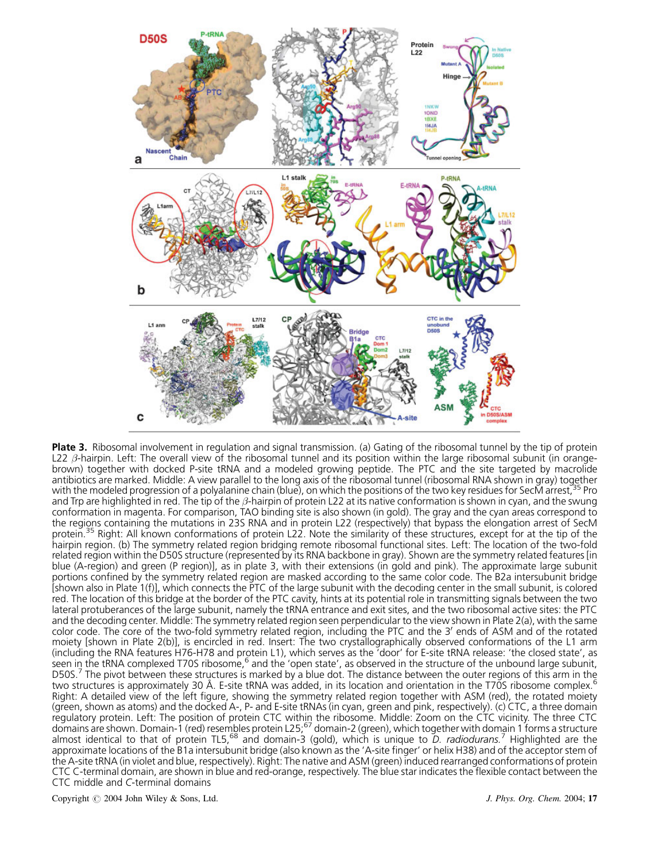

Plate 3. Ribosomal involvement in regulation and signal transmission. (a) Gating of the ribosomal tunnel by the tip of protein L22  $\beta$ -hairpin. Left: The overall view of the ribosomal tunnel and its position within the large ribosomal subunit (in orangebrown) together with docked P-site tRNA and a modeled growing peptide. The PTC and the site targeted by macrolide antibiotics are marked. Middle: A view parallel to the long axis of the ribosomal tunnel (ribosomal RNA shown in gray) together with the modeled progression of a polyalanine chain (blue), on which the positions of the two key residues for SecM arrest,<sup>35</sup> Pro and Trp are highlighted in red. The tip of the  $\beta$ -hairpin of protein L22 at its native conformation is shown in cyan, and the swung conformation in magenta. For comparison, TAO binding site is also shown (in gold). The gray and the cyan areas correspond to the regions containing the mutations in 23S RNA and in protein L22 (respectively) that bypass the elongation arrest of SecM protein.<sup>35</sup> Right: All known conformations of protein L22. Note the similarity of these structures, except for at the tip of the hairpin region. (b) The symmetry related region bridging remote ribosomal functional sites. Left: The location of the two-fold related region within the D50S structure (represented by its RNA backbone in gray). Shown are the symmetry related features [in blue (A-region) and green (P region)], as in plate 3, with their extensions (in gold and pink). The approximate large subunit portions confined by the symmetry related region are masked according to the same color code. The B2a intersubunit bridge [shown also in Plate 1(f)], which connects the PTC of the large subunit with the decoding center in the small subunit, is colored red. The location of this bridge at the border of the PTC cavity, hints at its potential role in transmitting signals between the two lateral protuberances of the large subunit, namely the tRNA entrance and exit sites, and the two ribosomal active sites: the PTC and the decoding center. Middle: The symmetry related region seen perpendicular to the view shown in Plate 2(a), with the same color code. The core of the two-fold symmetry related region, including the PTC and the 3' ends of ASM and of the rotated moiety [shown in Plate 2(b)], is encircled in red. Insert: The two crystallographically observed conformations of the L1 arm (including the RNA features H76-H78 and protein L1), which serves as the 'door' for E-site tRNA release: 'the closed state', as seen in the tRNA complexed T70S ribosome,<sup>6</sup> and the 'open state', as observed in the structure of the unbound large subunit, D50S.<sup>7</sup> The pivot between these structures is marked by a blue dot. The distance between the outer regions of this arm in the two structures is approximately 30 Å. E-site tRNA was added, in its location and orientation in the T70S ribosome complex.<sup>6</sup> Right: A detailed view of the left figure, showing the symmetry related region together with ASM (red), the rotated moiety (green, shown as atoms) and the docked A-, P- and E-site tRNAs (in cyan, green and pink, respectively). (c) CTC, a three domain regulatory protein. Left: The position of protein CTC within the ribosome. Middle: Zoom on the CTC vicinity. The three CTC<br>domains are shown. Domain-1 (red) resembles protein L25;<sup>67</sup> domain-2 (green), which together with almost identical to that of protein TL5,<sup>68</sup> and domain-3 (gold), which is unique to *D. radiodurans.*<sup>7</sup> Highlighted are the approximate locations of the B1a intersubunit bridge (also known as the 'A-site finger' or helix H38) and of the acceptor stem of the A-site tRNA (in violet and blue, respectively). Right: The native and ASM (green) induced rearranged conformations of protein CTC C-terminal domain, are shown in blue and red-orange, respectively. The blue star indicates the flexible contact between the CTC middle and C-terminal domains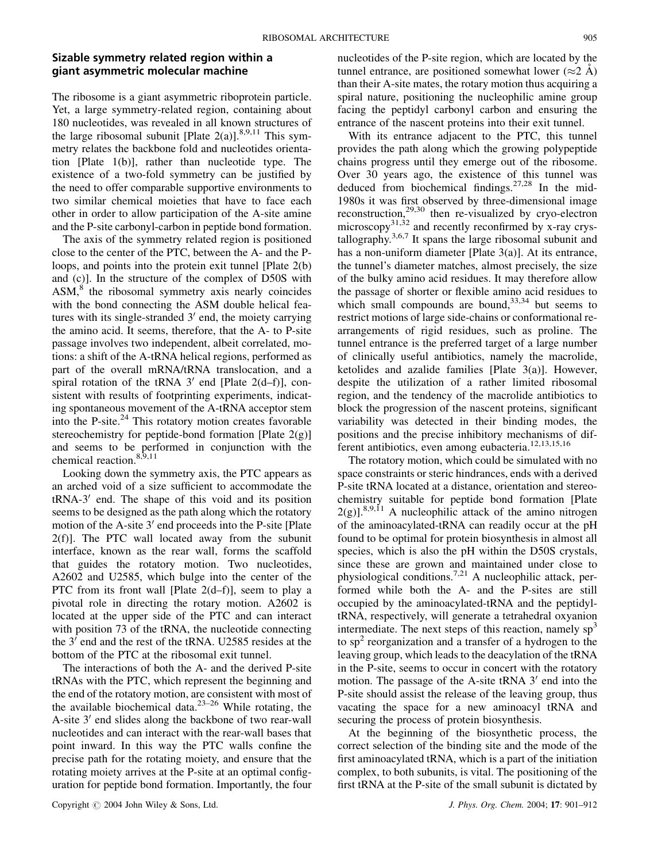## Sizable symmetry related region within a giant asymmetric molecular machine

The ribosome is a giant asymmetric riboprotein particle. Yet, a large symmetry-related region, containing about 180 nucleotides, was revealed in all known structures of the large ribosomal subunit [Plate  $2(a)$ ].<sup>8,9,11</sup> This symmetry relates the backbone fold and nucleotides orientation [Plate 1(b)], rather than nucleotide type. The existence of a two-fold symmetry can be justified by the need to offer comparable supportive environments to two similar chemical moieties that have to face each other in order to allow participation of the A-site amine and the P-site carbonyl-carbon in peptide bond formation.

The axis of the symmetry related region is positioned close to the center of the PTC, between the A- and the Ploops, and points into the protein exit tunnel [Plate 2(b) and (c)]. In the structure of the complex of D50S with  **the ribosomal symmetry axis nearly coincides** with the bond connecting the ASM double helical features with its single-stranded  $3'$  end, the moiety carrying the amino acid. It seems, therefore, that the A- to P-site passage involves two independent, albeit correlated, motions: a shift of the A-tRNA helical regions, performed as part of the overall mRNA/tRNA translocation, and a spiral rotation of the tRNA  $3'$  end [Plate 2(d–f)], consistent with results of footprinting experiments, indicating spontaneous movement of the A-tRNA acceptor stem into the P-site. $24$  This rotatory motion creates favorable stereochemistry for peptide-bond formation [Plate 2(g)] and seems to be performed in conjunction with the chemical reaction.<sup>8,9,11</sup>

Looking down the symmetry axis, the PTC appears as an arched void of a size sufficient to accommodate the  $tRNA-3'$  end. The shape of this void and its position seems to be designed as the path along which the rotatory motion of the A-site  $3'$  end proceeds into the P-site [Plate 2(f)]. The PTC wall located away from the subunit interface, known as the rear wall, forms the scaffold that guides the rotatory motion. Two nucleotides, A2602 and U2585, which bulge into the center of the PTC from its front wall [Plate 2(d–f)], seem to play a pivotal role in directing the rotary motion. A2602 is located at the upper side of the PTC and can interact with position 73 of the tRNA, the nucleotide connecting the  $3'$  end and the rest of the tRNA. U2585 resides at the bottom of the PTC at the ribosomal exit tunnel.

The interactions of both the A- and the derived P-site tRNAs with the PTC, which represent the beginning and the end of the rotatory motion, are consistent with most of the available biochemical data. $2^{3-26}$  While rotating, the A-site  $3'$  end slides along the backbone of two rear-wall nucleotides and can interact with the rear-wall bases that point inward. In this way the PTC walls confine the precise path for the rotating moiety, and ensure that the rotating moiety arrives at the P-site at an optimal configuration for peptide bond formation. Importantly, the four nucleotides of the P-site region, which are located by the tunnel entrance, are positioned somewhat lower ( $\approx$ 2 Å) than their A-site mates, the rotary motion thus acquiring a spiral nature, positioning the nucleophilic amine group facing the peptidyl carbonyl carbon and ensuring the entrance of the nascent proteins into their exit tunnel.

With its entrance adjacent to the PTC, this tunnel provides the path along which the growing polypeptide chains progress until they emerge out of the ribosome. Over 30 years ago, the existence of this tunnel was deduced from biochemical findings.<sup>27,28</sup> In the mid-1980s it was first observed by three-dimensional image reconstruction,29,30 then re-visualized by cryo-electron microscopy $31,32$  and recently reconfirmed by x-ray crystallography. $3,6,7$  It spans the large ribosomal subunit and has a non-uniform diameter [Plate 3(a)]. At its entrance, the tunnel's diameter matches, almost precisely, the size of the bulky amino acid residues. It may therefore allow the passage of shorter or flexible amino acid residues to which small compounds are bound, $33,34$  but seems to restrict motions of large side-chains or conformational rearrangements of rigid residues, such as proline. The tunnel entrance is the preferred target of a large number of clinically useful antibiotics, namely the macrolide, ketolides and azalide families [Plate 3(a)]. However, despite the utilization of a rather limited ribosomal region, and the tendency of the macrolide antibiotics to block the progression of the nascent proteins, significant variability was detected in their binding modes, the positions and the precise inhibitory mechanisms of different antibiotics, even among eubacteria.<sup>12,13,15,16</sup>

The rotatory motion, which could be simulated with no space constraints or steric hindrances, ends with a derived P-site tRNA located at a distance, orientation and stereochemistry suitable for peptide bond formation [Plate  $2(g)$ ].<sup>8,9,11</sup> A nucleophilic attack of the amino nitrogen of the aminoacylated-tRNA can readily occur at the pH found to be optimal for protein biosynthesis in almost all species, which is also the pH within the D50S crystals, since these are grown and maintained under close to physiological conditions.7,21 A nucleophilic attack, performed while both the A- and the P-sites are still occupied by the aminoacylated-tRNA and the peptidyltRNA, respectively, will generate a tetrahedral oxyanion intermediate. The next steps of this reaction, namely  $sp<sup>3</sup>$ to  $sp<sup>2</sup>$  reorganization and a transfer of a hydrogen to the leaving group, which leads to the deacylation of the tRNA in the P-site, seems to occur in concert with the rotatory motion. The passage of the A-site  $tRNA$  3' end into the P-site should assist the release of the leaving group, thus vacating the space for a new aminoacyl tRNA and securing the process of protein biosynthesis.

At the beginning of the biosynthetic process, the correct selection of the binding site and the mode of the first aminoacylated tRNA, which is a part of the initiation complex, to both subunits, is vital. The positioning of the first tRNA at the P-site of the small subunit is dictated by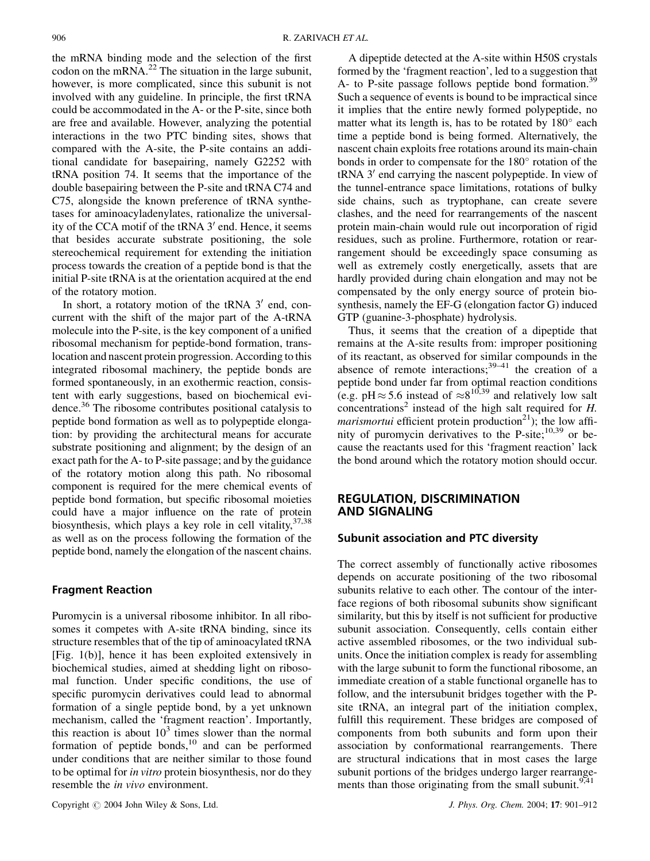the mRNA binding mode and the selection of the first codon on the mRNA. $^{22}$  The situation in the large subunit, however, is more complicated, since this subunit is not involved with any guideline. In principle, the first tRNA could be accommodated in the A- or the P-site, since both are free and available. However, analyzing the potential interactions in the two PTC binding sites, shows that compared with the A-site, the P-site contains an additional candidate for basepairing, namely G2252 with tRNA position 74. It seems that the importance of the double basepairing between the P-site and tRNA C74 and C75, alongside the known preference of tRNA synthetases for aminoacyladenylates, rationalize the universality of the CCA motif of the tRNA  $3'$  end. Hence, it seems that besides accurate substrate positioning, the sole stereochemical requirement for extending the initiation process towards the creation of a peptide bond is that the initial P-site tRNA is at the orientation acquired at the end of the rotatory motion.

In short, a rotatory motion of the tRNA  $3'$  end, concurrent with the shift of the major part of the A-tRNA molecule into the P-site, is the key component of a unified ribosomal mechanism for peptide-bond formation, translocation and nascent protein progression. According to this integrated ribosomal machinery, the peptide bonds are formed spontaneously, in an exothermic reaction, consistent with early suggestions, based on biochemical evidence.<sup>36</sup> The ribosome contributes positional catalysis to peptide bond formation as well as to polypeptide elongation: by providing the architectural means for accurate substrate positioning and alignment; by the design of an exact path for the A- to P-site passage; and by the guidance of the rotatory motion along this path. No ribosomal component is required for the mere chemical events of peptide bond formation, but specific ribosomal moieties could have a major influence on the rate of protein biosynthesis, which plays a key role in cell vitality,  $37,38$ as well as on the process following the formation of the peptide bond, namely the elongation of the nascent chains.

### Fragment Reaction

Puromycin is a universal ribosome inhibitor. In all ribosomes it competes with A-site tRNA binding, since its structure resembles that of the tip of aminoacylated tRNA [Fig. 1(b)], hence it has been exploited extensively in biochemical studies, aimed at shedding light on ribosomal function. Under specific conditions, the use of specific puromycin derivatives could lead to abnormal formation of a single peptide bond, by a yet unknown mechanism, called the 'fragment reaction'. Importantly, this reaction is about  $10<sup>3</sup>$  times slower than the normal formation of peptide bonds, $^{10}$  and can be performed under conditions that are neither similar to those found to be optimal for in vitro protein biosynthesis, nor do they resemble the *in vivo* environment.

Copyright  $\odot$  2004 John Wiley & Sons, Ltd.  $J. Phys.$  Org. Chem. 2004; 17: 901–912

A dipeptide detected at the A-site within H50S crystals formed by the 'fragment reaction', led to a suggestion that A- to P-site passage follows peptide bond formation.<sup>39</sup> Such a sequence of events is bound to be impractical since it implies that the entire newly formed polypeptide, no matter what its length is, has to be rotated by  $180^\circ$  each time a peptide bond is being formed. Alternatively, the nascent chain exploits free rotations around its main-chain bonds in order to compensate for the  $180^\circ$  rotation of the  $tRNA$  3' end carrying the nascent polypeptide. In view of the tunnel-entrance space limitations, rotations of bulky side chains, such as tryptophane, can create severe clashes, and the need for rearrangements of the nascent protein main-chain would rule out incorporation of rigid residues, such as proline. Furthermore, rotation or rearrangement should be exceedingly space consuming as well as extremely costly energetically, assets that are hardly provided during chain elongation and may not be compensated by the only energy source of protein biosynthesis, namely the EF-G (elongation factor G) induced GTP (guanine-3-phosphate) hydrolysis.

Thus, it seems that the creation of a dipeptide that remains at the A-site results from: improper positioning of its reactant, as observed for similar compounds in the absence of remote interactions;  $39-41$  the creation of a peptide bond under far from optimal reaction conditions (e.g. pH  $\approx$  5.6 instead of  $\approx 8^{10,39}$  and relatively low salt concentrations<sup>2</sup> instead of the high salt required for  $H$ . *marismortui* efficient protein production<sup>21</sup>); the low affinity of puromycin derivatives to the P-site; $10,39$  or because the reactants used for this 'fragment reaction' lack the bond around which the rotatory motion should occur.

## REGULATION, DISCRIMINATION AND SIGNALING

#### Subunit association and PTC diversity

The correct assembly of functionally active ribosomes depends on accurate positioning of the two ribosomal subunits relative to each other. The contour of the interface regions of both ribosomal subunits show significant similarity, but this by itself is not sufficient for productive subunit association. Consequently, cells contain either active assembled ribosomes, or the two individual subunits. Once the initiation complex is ready for assembling with the large subunit to form the functional ribosome, an immediate creation of a stable functional organelle has to follow, and the intersubunit bridges together with the Psite tRNA, an integral part of the initiation complex, fulfill this requirement. These bridges are composed of components from both subunits and form upon their association by conformational rearrangements. There are structural indications that in most cases the large subunit portions of the bridges undergo larger rearrangements than those originating from the small subunit.  $9,41$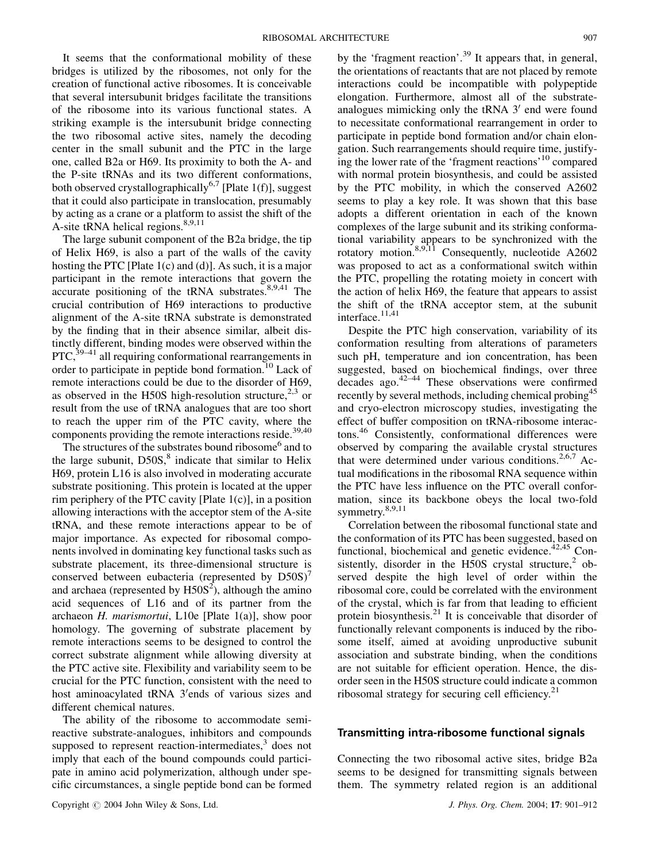It seems that the conformational mobility of these bridges is utilized by the ribosomes, not only for the creation of functional active ribosomes. It is conceivable that several intersubunit bridges facilitate the transitions of the ribosome into its various functional states. A striking example is the intersubunit bridge connecting the two ribosomal active sites, namely the decoding center in the small subunit and the PTC in the large one, called B2a or H69. Its proximity to both the A- and the P-site tRNAs and its two different conformations, both observed crystallographically<sup>6,7</sup> [Plate 1(f)], suggest that it could also participate in translocation, presumably by acting as a crane or a platform to assist the shift of the A-site tRNA helical regions.<sup>8,9,11</sup>

The large subunit component of the B2a bridge, the tip of Helix H69, is also a part of the walls of the cavity hosting the PTC [Plate 1(c) and (d)]. As such, it is a major participant in the remote interactions that govern the accurate positioning of the tRNA substrates.<sup>8,9,41</sup> The crucial contribution of H69 interactions to productive alignment of the A-site tRNA substrate is demonstrated by the finding that in their absence similar, albeit distinctly different, binding modes were observed within the  $PTC$ ,  $39-41$  all requiring conformational rearrangements in order to participate in peptide bond formation.<sup>10</sup> Lack of remote interactions could be due to the disorder of H69, as observed in the H50S high-resolution structure,<sup>2,3</sup> or result from the use of tRNA analogues that are too short to reach the upper rim of the PTC cavity, where the components providing the remote interactions reside.<sup>39,40</sup>

The structures of the substrates bound ribosome<sup>6</sup> and to the large subunit,  $D50S$ ,<sup>8</sup> indicate that similar to Helix H69, protein L16 is also involved in moderating accurate substrate positioning. This protein is located at the upper rim periphery of the PTC cavity [Plate 1(c)], in a position allowing interactions with the acceptor stem of the A-site tRNA, and these remote interactions appear to be of major importance. As expected for ribosomal components involved in dominating key functional tasks such as substrate placement, its three-dimensional structure is conserved between eubacteria (represented by  $D50S$ )<sup>7</sup> and archaea (represented by  $H50S<sup>2</sup>$ ), although the amino acid sequences of L16 and of its partner from the archaeon H. marismortui, L10e [Plate 1(a)], show poor homology. The governing of substrate placement by remote interactions seems to be designed to control the correct substrate alignment while allowing diversity at the PTC active site. Flexibility and variability seem to be crucial for the PTC function, consistent with the need to host aminoacylated tRNA 3'ends of various sizes and different chemical natures.

The ability of the ribosome to accommodate semireactive substrate-analogues, inhibitors and compounds supposed to represent reaction-intermediates, $3$  does not imply that each of the bound compounds could participate in amino acid polymerization, although under specific circumstances, a single peptide bond can be formed

Copyright  $\odot$  2004 John Wiley & Sons, Ltd.  $J. Phys.$  Org. Chem. 2004; 17: 901–912

by the 'fragment reaction'.<sup>39</sup> It appears that, in general, the orientations of reactants that are not placed by remote interactions could be incompatible with polypeptide elongation. Furthermore, almost all of the substrateanalogues mimicking only the  $tRNA$  3' end were found to necessitate conformational rearrangement in order to participate in peptide bond formation and/or chain elongation. Such rearrangements should require time, justifying the lower rate of the 'fragment reactions'<sup>10</sup> compared with normal protein biosynthesis, and could be assisted by the PTC mobility, in which the conserved A2602 seems to play a key role. It was shown that this base adopts a different orientation in each of the known complexes of the large subunit and its striking conformational variability appears to be synchronized with the rotatory motion.8,9,11 Consequently, nucleotide A2602 was proposed to act as a conformational switch within the PTC, propelling the rotating moiety in concert with the action of helix H69, the feature that appears to assist the shift of the tRNA acceptor stem, at the subunit interface.11,41

Despite the PTC high conservation, variability of its conformation resulting from alterations of parameters such pH, temperature and ion concentration, has been suggested, based on biochemical findings, over three decades ago. $42-44$  These observations were confirmed recently by several methods, including chemical probing<sup>45</sup> and cryo-electron microscopy studies, investigating the effect of buffer composition on tRNA-ribosome interactons.46 Consistently, conformational differences were observed by comparing the available crystal structures that were determined under various conditions. $2,6,7$  Actual modifications in the ribosomal RNA sequence within the PTC have less influence on the PTC overall conformation, since its backbone obeys the local two-fold symmetry.<sup>8,9,11</sup>

Correlation between the ribosomal functional state and the conformation of its PTC has been suggested, based on functional, biochemical and genetic evidence.<sup>42,45</sup> Consistently, disorder in the H50S crystal structure,<sup>2</sup> observed despite the high level of order within the ribosomal core, could be correlated with the environment of the crystal, which is far from that leading to efficient protein biosynthesis.<sup>21</sup> It is conceivable that disorder of functionally relevant components is induced by the ribosome itself, aimed at avoiding unproductive subunit association and substrate binding, when the conditions are not suitable for efficient operation. Hence, the disorder seen in the H50S structure could indicate a common ribosomal strategy for securing cell efficiency.<sup>21</sup>

#### Transmitting intra-ribosome functional signals

Connecting the two ribosomal active sites, bridge B2a seems to be designed for transmitting signals between them. The symmetry related region is an additional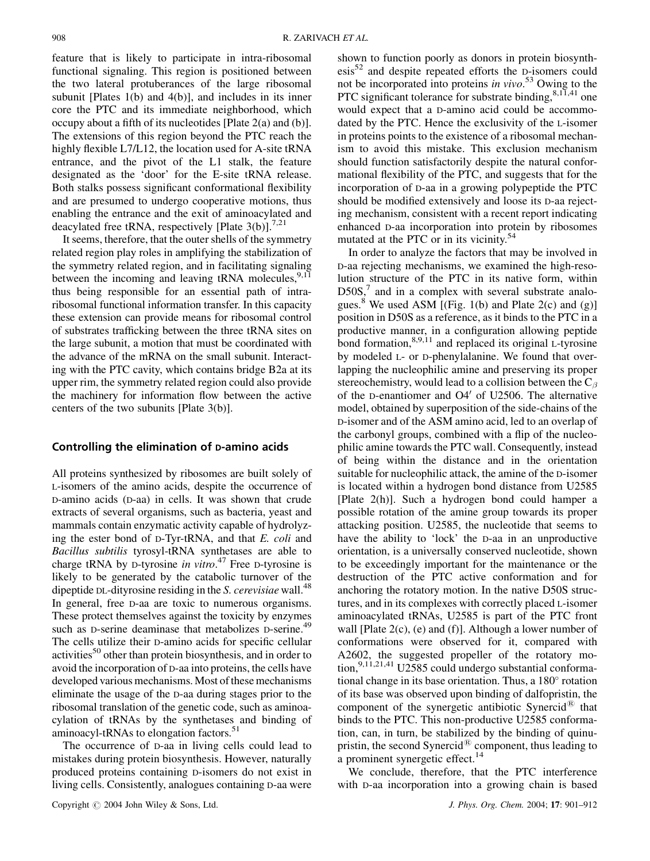feature that is likely to participate in intra-ribosomal functional signaling. This region is positioned between the two lateral protuberances of the large ribosomal subunit [Plates  $1(b)$  and  $4(b)$ ], and includes in its inner core the PTC and its immediate neighborhood, which occupy about a fifth of its nucleotides [Plate 2(a) and (b)]. The extensions of this region beyond the PTC reach the highly flexible L7/L12, the location used for A-site tRNA entrance, and the pivot of the L1 stalk, the feature designated as the 'door' for the E-site tRNA release. Both stalks possess significant conformational flexibility and are presumed to undergo cooperative motions, thus enabling the entrance and the exit of aminoacylated and deacylated free tRNA, respectively [Plate 3(b)].<sup>7,21</sup>

It seems, therefore, that the outer shells of the symmetry related region play roles in amplifying the stabilization of the symmetry related region, and in facilitating signaling between the incoming and leaving tRNA molecules,  $9,11$ thus being responsible for an essential path of intraribosomal functional information transfer. In this capacity these extension can provide means for ribosomal control of substrates trafficking between the three tRNA sites on the large subunit, a motion that must be coordinated with the advance of the mRNA on the small subunit. Interacting with the PTC cavity, which contains bridge B2a at its upper rim, the symmetry related region could also provide the machinery for information flow between the active centers of the two subunits [Plate 3(b)].

#### Controlling the elimination of **D-amino** acids

All proteins synthesized by ribosomes are built solely of L-isomers of the amino acids, despite the occurrence of D-amino acids (D-aa) in cells. It was shown that crude extracts of several organisms, such as bacteria, yeast and mammals contain enzymatic activity capable of hydrolyzing the ester bond of D-Tyr-tRNA, and that E. coli and Bacillus subtilis tyrosyl-tRNA synthetases are able to charge tRNA by D-tyrosine in vitro.<sup>47</sup> Free D-tyrosine is likely to be generated by the catabolic turnover of the dipeptide DL-dityrosine residing in the *S. cerevisiae* wall.<sup>48</sup> In general, free D-aa are toxic to numerous organisms. These protect themselves against the toxicity by enzymes such as D-serine deaminase that metabolizes D-serine.<sup>49</sup> The cells utilize their D-amino acids for specific cellular activities<sup>50</sup> other than protein biosynthesis, and in order to avoid the incorporation of D-aa into proteins, the cells have developed various mechanisms. Most of these mechanisms eliminate the usage of the D-aa during stages prior to the ribosomal translation of the genetic code, such as aminoacylation of tRNAs by the synthetases and binding of aminoacyl-tRNAs to elongation factors.<sup>51</sup>

The occurrence of D-aa in living cells could lead to mistakes during protein biosynthesis. However, naturally produced proteins containing D-isomers do not exist in living cells. Consistently, analogues containing D-aa were

Copyright  $\odot$  2004 John Wiley & Sons, Ltd.  $J. Phys.$  Org. Chem. 2004; 17: 901–912

shown to function poorly as donors in protein biosynthesis<sup>52</sup> and despite repeated efforts the D-isomers could not be incorporated into proteins in vivo.<sup>53</sup> Owing to the PTC significant tolerance for substrate binding,  $8,11,41$  one would expect that a D-amino acid could be accommodated by the PTC. Hence the exclusivity of the L-isomer in proteins points to the existence of a ribosomal mechanism to avoid this mistake. This exclusion mechanism should function satisfactorily despite the natural conformational flexibility of the PTC, and suggests that for the incorporation of D-aa in a growing polypeptide the PTC should be modified extensively and loose its D-aa rejecting mechanism, consistent with a recent report indicating enhanced D-aa incorporation into protein by ribosomes mutated at the PTC or in its vicinity.<sup>54</sup>

In order to analyze the factors that may be involved in D-aa rejecting mechanisms, we examined the high-resolution structure of the PTC in its native form, within  $D50S$ ,<sup>7</sup> and in a complex with several substrate analogues.<sup>8</sup> We used ASM  $[(Fig. 1(b)$  and Plate 2(c) and (g)] position in D50S as a reference, as it binds to the PTC in a productive manner, in a configuration allowing peptide bond formation,  $8,9,11$  and replaced its original L-tyrosine by modeled L- or D-phenylalanine. We found that overlapping the nucleophilic amine and preserving its proper stereochemistry, would lead to a collision between the  $C_{\beta}$ of the D-enantiomer and  $O4'$  of U2506. The alternative model, obtained by superposition of the side-chains of the D-isomer and of the ASM amino acid, led to an overlap of the carbonyl groups, combined with a flip of the nucleophilic amine towards the PTC wall. Consequently, instead of being within the distance and in the orientation suitable for nucleophilic attack, the amine of the D-isomer is located within a hydrogen bond distance from U2585 [Plate 2(h)]. Such a hydrogen bond could hamper a possible rotation of the amine group towards its proper attacking position. U2585, the nucleotide that seems to have the ability to 'lock' the D-aa in an unproductive orientation, is a universally conserved nucleotide, shown to be exceedingly important for the maintenance or the destruction of the PTC active conformation and for anchoring the rotatory motion. In the native D50S structures, and in its complexes with correctly placed L-isomer aminoacylated tRNAs, U2585 is part of the PTC front wall [Plate 2(c), (e) and (f)]. Although a lower number of conformations were observed for it, compared with A2602, the suggested propeller of the rotatory motion.<sup>9,11,21,41</sup> U2585 could undergo substantial conformational change in its base orientation. Thus, a  $180^\circ$  rotation of its base was observed upon binding of dalfopristin, the component of the synergetic antibiotic Synercid $^{\circledR}$  that binds to the PTC. This non-productive U2585 conformation, can, in turn, be stabilized by the binding of quinupristin, the second Synercid® component, thus leading to a prominent synergetic effect.<sup>14</sup>

We conclude, therefore, that the PTC interference with D-aa incorporation into a growing chain is based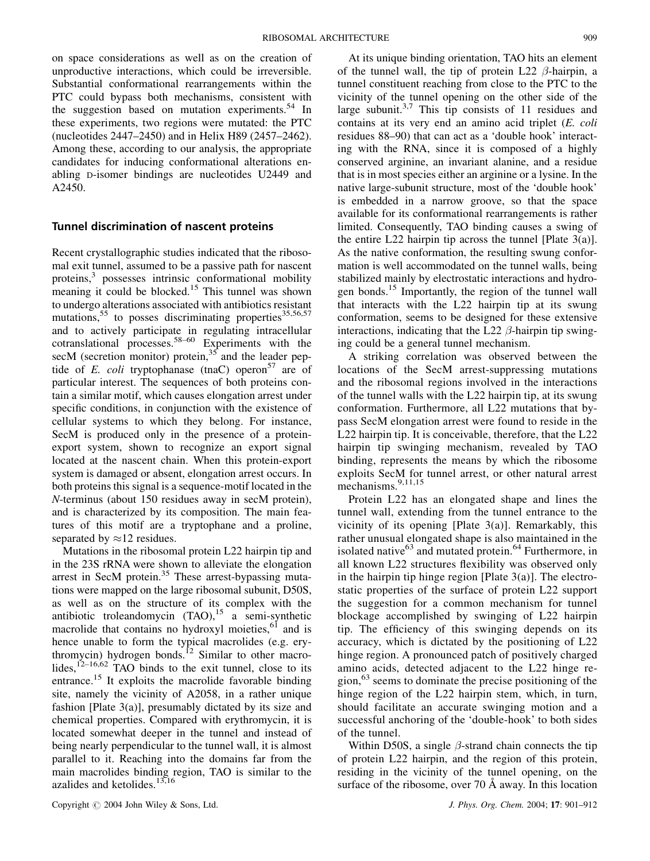on space considerations as well as on the creation of unproductive interactions, which could be irreversible. Substantial conformational rearrangements within the PTC could bypass both mechanisms, consistent with the suggestion based on mutation experiments.<sup>54</sup> In these experiments, two regions were mutated: the PTC (nucleotides 2447–2450) and in Helix H89 (2457–2462). Among these, according to our analysis, the appropriate candidates for inducing conformational alterations enabling D-isomer bindings are nucleotides U2449 and A2450.

#### Tunnel discrimination of nascent proteins

Recent crystallographic studies indicated that the ribosomal exit tunnel, assumed to be a passive path for nascent proteins,<sup>3</sup> possesses intrinsic conformational mobility meaning it could be blocked.<sup>15</sup> This tunnel was shown to undergo alterations associated with antibiotics resistant mutations,<sup>55</sup> to posses discriminating properties<sup>35,56,57</sup> and to actively participate in regulating intracellular cotranslational processes.<sup>58–60</sup> Experiments with the secM (secretion monitor) protein, $35$  and the leader peptide of E. coli tryptophanase (tnaC) operon<sup>57</sup> are of particular interest. The sequences of both proteins contain a similar motif, which causes elongation arrest under specific conditions, in conjunction with the existence of cellular systems to which they belong. For instance, SecM is produced only in the presence of a proteinexport system, shown to recognize an export signal located at the nascent chain. When this protein-export system is damaged or absent, elongation arrest occurs. In both proteins this signal is a sequence-motif located in the N-terminus (about 150 residues away in secM protein), and is characterized by its composition. The main features of this motif are a tryptophane and a proline, separated by  $\approx$ 12 residues.

Mutations in the ribosomal protein L22 hairpin tip and in the 23S rRNA were shown to alleviate the elongation arrest in SecM protein.<sup>35</sup> These arrest-bypassing mutations were mapped on the large ribosomal subunit, D50S, as well as on the structure of its complex with the antibiotic troleandomycin  $(TAO)$ ,<sup>15</sup> a semi-synthetic macrolide that contains no hydroxyl moieties, $61$  and is hence unable to form the typical macrolides (e.g. erythromycin) hydrogen bonds.<sup>12</sup> Similar to other macrolides,  $12-16,62$  TAO binds to the exit tunnel, close to its entrance.<sup>15</sup> It exploits the macrolide favorable binding site, namely the vicinity of A2058, in a rather unique fashion [Plate  $3(a)$ ], presumably dictated by its size and chemical properties. Compared with erythromycin, it is located somewhat deeper in the tunnel and instead of being nearly perpendicular to the tunnel wall, it is almost parallel to it. Reaching into the domains far from the main macrolides binding region, TAO is similar to the azalides and ketolides.<sup>13,16</sup>

At its unique binding orientation, TAO hits an element of the tunnel wall, the tip of protein L22  $\beta$ -hairpin, a tunnel constituent reaching from close to the PTC to the vicinity of the tunnel opening on the other side of the large subunit.<sup>3,7</sup> This tip consists of 11 residues and contains at its very end an amino acid triplet (E. coli residues 88–90) that can act as a 'double hook' interacting with the RNA, since it is composed of a highly conserved arginine, an invariant alanine, and a residue that is in most species either an arginine or a lysine. In the native large-subunit structure, most of the 'double hook' is embedded in a narrow groove, so that the space available for its conformational rearrangements is rather limited. Consequently, TAO binding causes a swing of the entire L22 hairpin tip across the tunnel [Plate  $3(a)$ ]. As the native conformation, the resulting swung conformation is well accommodated on the tunnel walls, being stabilized mainly by electrostatic interactions and hydrogen bonds.15 Importantly, the region of the tunnel wall that interacts with the L22 hairpin tip at its swung conformation, seems to be designed for these extensive interactions, indicating that the L22  $\beta$ -hairpin tip swinging could be a general tunnel mechanism.

A striking correlation was observed between the locations of the SecM arrest-suppressing mutations and the ribosomal regions involved in the interactions of the tunnel walls with the L22 hairpin tip, at its swung conformation. Furthermore, all L22 mutations that bypass SecM elongation arrest were found to reside in the L22 hairpin tip. It is conceivable, therefore, that the L22 hairpin tip swinging mechanism, revealed by TAO binding, represents the means by which the ribosome exploits SecM for tunnel arrest, or other natural arrest mechanisms.<sup>9,11,15</sup>

Protein L22 has an elongated shape and lines the tunnel wall, extending from the tunnel entrance to the vicinity of its opening [Plate 3(a)]. Remarkably, this rather unusual elongated shape is also maintained in the isolated native<sup>63</sup> and mutated protein.<sup>64</sup> Furthermore, in all known L22 structures flexibility was observed only in the hairpin tip hinge region [Plate  $3(a)$ ]. The electrostatic properties of the surface of protein L22 support the suggestion for a common mechanism for tunnel blockage accomplished by swinging of L22 hairpin tip. The efficiency of this swinging depends on its accuracy, which is dictated by the positioning of L22 hinge region. A pronounced patch of positively charged amino acids, detected adjacent to the L22 hinge region,  $63$  seems to dominate the precise positioning of the hinge region of the L22 hairpin stem, which, in turn, should facilitate an accurate swinging motion and a successful anchoring of the 'double-hook' to both sides of the tunnel.

Within D50S, a single  $\beta$ -strand chain connects the tip of protein L22 hairpin, and the region of this protein, residing in the vicinity of the tunnel opening, on the surface of the ribosome, over  $70 \text{ Å}$  away. In this location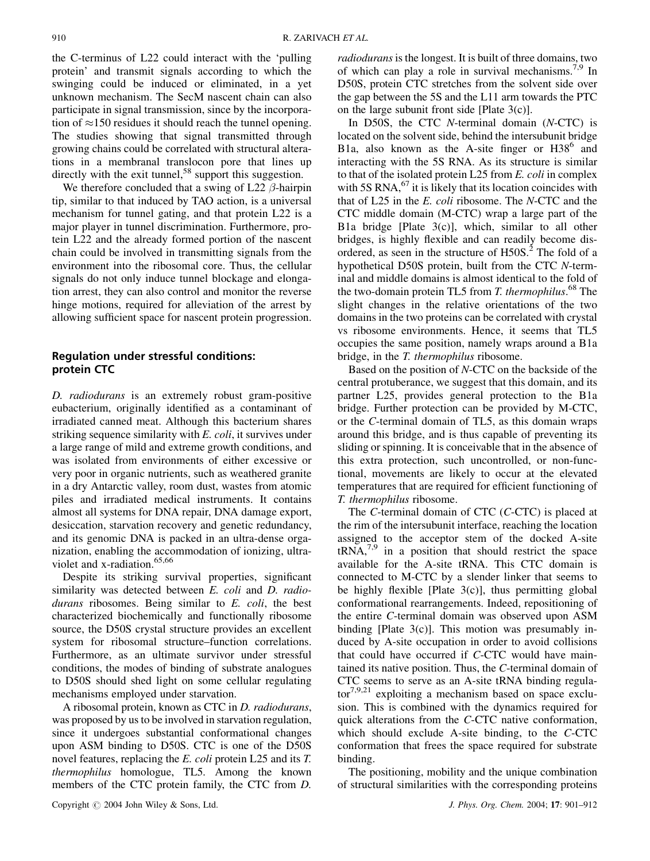the C-terminus of L22 could interact with the 'pulling protein' and transmit signals according to which the swinging could be induced or eliminated, in a yet unknown mechanism. The SecM nascent chain can also participate in signal transmission, since by the incorporation of  $\approx$ 150 residues it should reach the tunnel opening. The studies showing that signal transmitted through growing chains could be correlated with structural alterations in a membranal translocon pore that lines up directly with the exit tunnel,<sup>58</sup> support this suggestion.

We therefore concluded that a swing of L22  $\beta$ -hairpin tip, similar to that induced by TAO action, is a universal mechanism for tunnel gating, and that protein L22 is a major player in tunnel discrimination. Furthermore, protein L22 and the already formed portion of the nascent chain could be involved in transmitting signals from the environment into the ribosomal core. Thus, the cellular signals do not only induce tunnel blockage and elongation arrest, they can also control and monitor the reverse hinge motions, required for alleviation of the arrest by allowing sufficient space for nascent protein progression.

## Regulation under stressful conditions: protein CTC

D. radiodurans is an extremely robust gram-positive eubacterium, originally identified as a contaminant of irradiated canned meat. Although this bacterium shares striking sequence similarity with E. coli, it survives under a large range of mild and extreme growth conditions, and was isolated from environments of either excessive or very poor in organic nutrients, such as weathered granite in a dry Antarctic valley, room dust, wastes from atomic piles and irradiated medical instruments. It contains almost all systems for DNA repair, DNA damage export, desiccation, starvation recovery and genetic redundancy, and its genomic DNA is packed in an ultra-dense organization, enabling the accommodation of ionizing, ultraviolet and x-radiation.<sup>65,66</sup>

Despite its striking survival properties, significant similarity was detected between E. coli and D. radiodurans ribosomes. Being similar to E. coli, the best characterized biochemically and functionally ribosome source, the D50S crystal structure provides an excellent system for ribosomal structure–function correlations. Furthermore, as an ultimate survivor under stressful conditions, the modes of binding of substrate analogues to D50S should shed light on some cellular regulating mechanisms employed under starvation.

A ribosomal protein, known as CTC in D. radiodurans, was proposed by us to be involved in starvation regulation, since it undergoes substantial conformational changes upon ASM binding to D50S. CTC is one of the D50S novel features, replacing the E. coli protein L25 and its T. thermophilus homologue, TL5. Among the known members of the CTC protein family, the CTC from D. radiodurans is the longest. It is built of three domains, two of which can play a role in survival mechanisms.<sup>7,9</sup> In D50S, protein CTC stretches from the solvent side over the gap between the 5S and the L11 arm towards the PTC on the large subunit front side [Plate 3(c)].

In D50S, the CTC N-terminal domain (N-CTC) is located on the solvent side, behind the intersubunit bridge B1a, also known as the A-site finger or  $H38^6$  and interacting with the 5S RNA. As its structure is similar to that of the isolated protein L25 from E. coli in complex with 5S RNA, $67$  it is likely that its location coincides with that of L25 in the  $E$ . *coli* ribosome. The N-CTC and the CTC middle domain (M-CTC) wrap a large part of the B1a bridge [Plate 3(c)], which, similar to all other bridges, is highly flexible and can readily become disordered, as seen in the structure of  $H50S<sup>2</sup>$ . The fold of a hypothetical D50S protein, built from the CTC N-terminal and middle domains is almost identical to the fold of the two-domain protein TL5 from T. thermophilus.<sup>68</sup> The slight changes in the relative orientations of the two domains in the two proteins can be correlated with crystal vs ribosome environments. Hence, it seems that TL5 occupies the same position, namely wraps around a B1a bridge, in the T. thermophilus ribosome.

Based on the position of N-CTC on the backside of the central protuberance, we suggest that this domain, and its partner L25, provides general protection to the B1a bridge. Further protection can be provided by M-CTC, or the C-terminal domain of TL5, as this domain wraps around this bridge, and is thus capable of preventing its sliding or spinning. It is conceivable that in the absence of this extra protection, such uncontrolled, or non-functional, movements are likely to occur at the elevated temperatures that are required for efficient functioning of T. thermophilus ribosome.

The C-terminal domain of CTC (C-CTC) is placed at the rim of the intersubunit interface, reaching the location assigned to the acceptor stem of the docked A-site  $tRNA$ ,<sup>7,9</sup> in a position that should restrict the space available for the A-site tRNA. This CTC domain is connected to M-CTC by a slender linker that seems to be highly flexible [Plate  $3(c)$ ], thus permitting global conformational rearrangements. Indeed, repositioning of the entire C-terminal domain was observed upon ASM binding [Plate  $3(c)$ ]. This motion was presumably induced by A-site occupation in order to avoid collisions that could have occurred if C-CTC would have maintained its native position. Thus, the C-terminal domain of CTC seems to serve as an A-site tRNA binding regula- $\text{tor}^{7,9,21}$  exploiting a mechanism based on space exclusion. This is combined with the dynamics required for quick alterations from the C-CTC native conformation, which should exclude A-site binding, to the C-CTC conformation that frees the space required for substrate binding.

The positioning, mobility and the unique combination of structural similarities with the corresponding proteins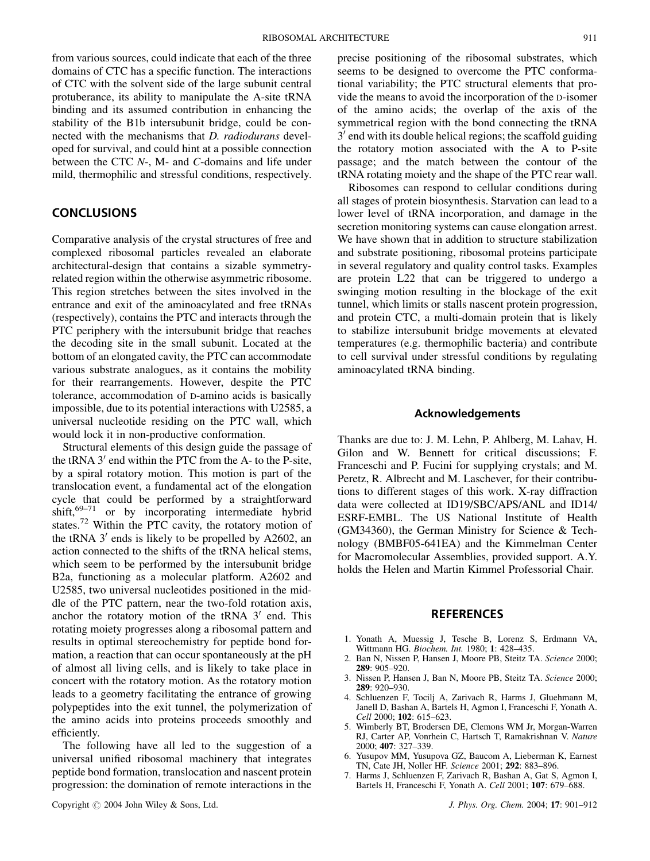from various sources, could indicate that each of the three domains of CTC has a specific function. The interactions of CTC with the solvent side of the large subunit central protuberance, its ability to manipulate the A-site tRNA binding and its assumed contribution in enhancing the stability of the B1b intersubunit bridge, could be connected with the mechanisms that D. radiodurans developed for survival, and could hint at a possible connection between the CTC N-, M- and C-domains and life under mild, thermophilic and stressful conditions, respectively.

## **CONCLUSIONS**

Comparative analysis of the crystal structures of free and complexed ribosomal particles revealed an elaborate architectural-design that contains a sizable symmetryrelated region within the otherwise asymmetric ribosome. This region stretches between the sites involved in the entrance and exit of the aminoacylated and free tRNAs (respectively), contains the PTC and interacts through the PTC periphery with the intersubunit bridge that reaches the decoding site in the small subunit. Located at the bottom of an elongated cavity, the PTC can accommodate various substrate analogues, as it contains the mobility for their rearrangements. However, despite the PTC tolerance, accommodation of D-amino acids is basically impossible, due to its potential interactions with U2585, a universal nucleotide residing on the PTC wall, which would lock it in non-productive conformation.

Structural elements of this design guide the passage of the tRNA  $3'$  end within the PTC from the A- to the P-site, by a spiral rotatory motion. This motion is part of the translocation event, a fundamental act of the elongation cycle that could be performed by a straightforward shift,  $69-71$  or by incorporating intermediate hybrid states.<sup>72</sup> Within the PTC cavity, the rotatory motion of the tRNA  $3'$  ends is likely to be propelled by A2602, an action connected to the shifts of the tRNA helical stems, which seem to be performed by the intersubunit bridge B2a, functioning as a molecular platform. A2602 and U2585, two universal nucleotides positioned in the middle of the PTC pattern, near the two-fold rotation axis, anchor the rotatory motion of the  $tRNA$  3' end. This rotating moiety progresses along a ribosomal pattern and results in optimal stereochemistry for peptide bond formation, a reaction that can occur spontaneously at the pH of almost all living cells, and is likely to take place in concert with the rotatory motion. As the rotatory motion leads to a geometry facilitating the entrance of growing polypeptides into the exit tunnel, the polymerization of the amino acids into proteins proceeds smoothly and efficiently.

The following have all led to the suggestion of a universal unified ribosomal machinery that integrates peptide bond formation, translocation and nascent protein progression: the domination of remote interactions in the

precise positioning of the ribosomal substrates, which seems to be designed to overcome the PTC conformational variability; the PTC structural elements that provide the means to avoid the incorporation of the D-isomer of the amino acids; the overlap of the axis of the symmetrical region with the bond connecting the tRNA  $3'$  end with its double helical regions; the scaffold guiding the rotatory motion associated with the A to P-site passage; and the match between the contour of the tRNA rotating moiety and the shape of the PTC rear wall.

Ribosomes can respond to cellular conditions during all stages of protein biosynthesis. Starvation can lead to a lower level of tRNA incorporation, and damage in the secretion monitoring systems can cause elongation arrest. We have shown that in addition to structure stabilization and substrate positioning, ribosomal proteins participate in several regulatory and quality control tasks. Examples are protein L22 that can be triggered to undergo a swinging motion resulting in the blockage of the exit tunnel, which limits or stalls nascent protein progression, and protein CTC, a multi-domain protein that is likely to stabilize intersubunit bridge movements at elevated temperatures (e.g. thermophilic bacteria) and contribute to cell survival under stressful conditions by regulating aminoacylated tRNA binding.

#### Acknowledgements

Thanks are due to: J. M. Lehn, P. Ahlberg, M. Lahav, H. Gilon and W. Bennett for critical discussions; F. Franceschi and P. Fucini for supplying crystals; and M. Peretz, R. Albrecht and M. Laschever, for their contributions to different stages of this work. X-ray diffraction data were collected at ID19/SBC/APS/ANL and ID14/ ESRF-EMBL. The US National Institute of Health (GM34360), the German Ministry for Science & Technology (BMBF05-641EA) and the Kimmelman Center for Macromolecular Assemblies, provided support. A.Y. holds the Helen and Martin Kimmel Professorial Chair.

#### **REFERENCES**

- 1. Yonath A, Muessig J, Tesche B, Lorenz S, Erdmann VA, Wittmann HG. Biochem. Int. 1980; 1: 428–435.
- 2. Ban N, Nissen P, Hansen J, Moore PB, Steitz TA. Science 2000; 289: 905–920.
- 3. Nissen P, Hansen J, Ban N, Moore PB, Steitz TA. Science 2000; 289: 920–930.
- 4. Schluenzen F, Tocilj A, Zarivach R, Harms J, Gluehmann M, Janell D, Bashan A, Bartels H, Agmon I, Franceschi F, Yonath A. Cell 2000; 102: 615–623.
- 5. Wimberly BT, Brodersen DE, Clemons WM Jr, Morgan-Warren RJ, Carter AP, Vonrhein C, Hartsch T, Ramakrishnan V. Nature 2000; 407: 327–339.
- 6. Yusupov MM, Yusupova GZ, Baucom A, Lieberman K, Earnest TN, Cate JH, Noller HF. Science 2001; 292: 883–896.
- 7. Harms J, Schluenzen F, Zarivach R, Bashan A, Gat S, Agmon I, Bartels H, Franceschi F, Yonath A. Cell 2001; 107: 679–688.